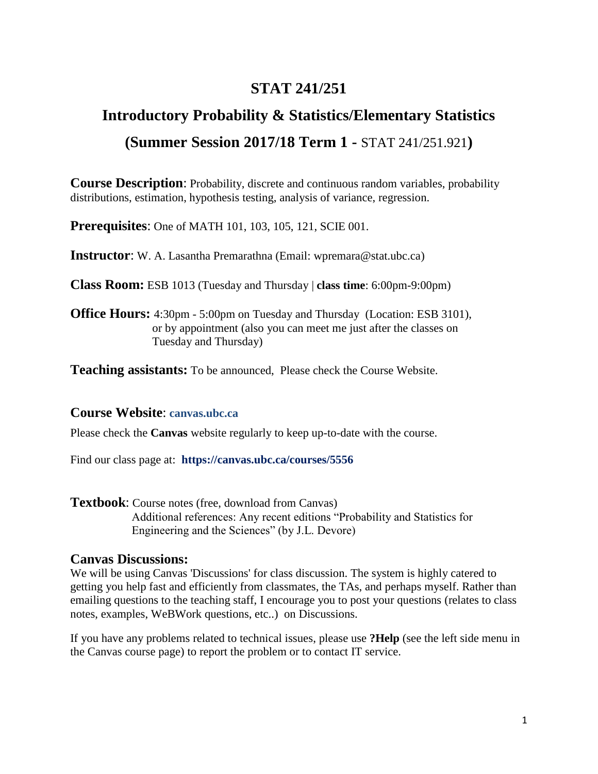## **STAT 241/251**

# **Introductory Probability & Statistics/Elementary Statistics (Summer Session 2017/18 Term 1 -** STAT 241/251.921**)**

**Course Description**: Probability, discrete and continuous random variables, probability distributions, estimation, hypothesis testing, analysis of variance, regression.

**Prerequisites**: One of MATH 101, 103, 105, 121, SCIE 001.

**Instructor**: W. A. Lasantha Premarathna (Email: [wpremara@stat.ubc.ca\)](mailto:melissa.lee@stat.ubc.ca)

**Class Room:** ESB 1013 (Tuesday and Thursday | **class time**: 6:00pm-9:00pm)

**Office Hours:** 4:30pm - 5:00pm on Tuesday and Thursday (Location: ESB 3101), or by appointment (also you can meet me just after the classes on Tuesday and Thursday)

**Teaching assistants:** To be announced, Please check the Course Website.

#### **Course Website**: **canvas.ubc.ca**

Please check the **Canvas** website regularly to keep up-to-date with the course.

Find our class page at: **https://canvas.ubc.ca/courses/5556**

**Textbook**: Course notes (free, download from Canvas) Additional references: Any recent editions "Probability and Statistics for Engineering and the Sciences" (by J.L. Devore)

#### **Canvas Discussions:**

We will be using Canvas 'Discussions' for class discussion. The system is highly catered to getting you help fast and efficiently from classmates, the TAs, and perhaps myself. Rather than emailing questions to the teaching staff, I encourage you to post your questions (relates to class notes, examples, WeBWork questions, etc..) on Discussions.

If you have any problems related to technical issues, please use **?Help** (see the left side menu in the Canvas course page) to report the problem or to contact IT service.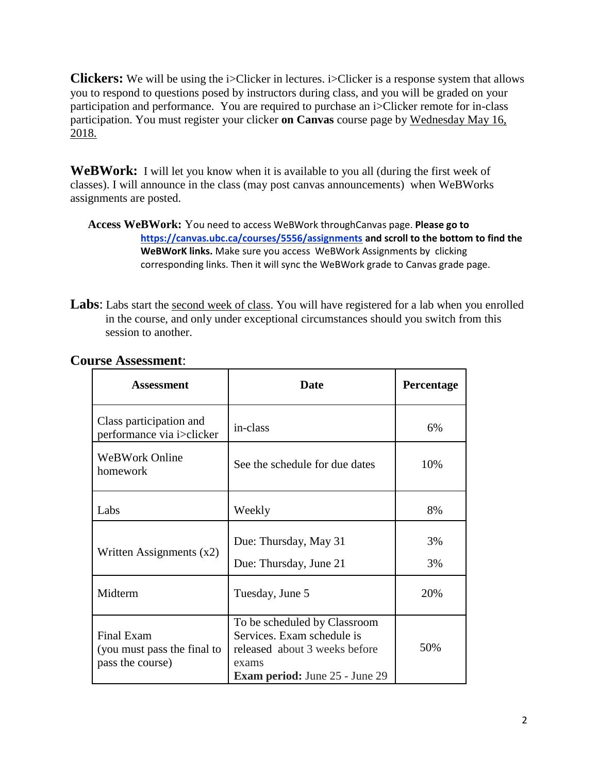**Clickers:** We will be using the i>Clicker in lectures. i>Clicker is a response system that allows you to respond to questions posed by instructors during class, and you will be graded on your participation and performance. You are required to purchase an i>Clicker remote for in-class participation. You must register your clicker **on Canvas** course page by Wednesday May 16, 2018.

**WeBWork:** I will let you know when it is available to you all (during the first week of classes). I will announce in the class (may post canvas announcements) when WeBWorks assignments are posted.

Labs: Labs start the <u>second week of class</u>. You will have registered for a lab when you enrolled in the course, and only under exceptional circumstances should you switch from this session to another.

| Assessment                                                    | Date                                                                                                                                          | Percentage |
|---------------------------------------------------------------|-----------------------------------------------------------------------------------------------------------------------------------------------|------------|
| Class participation and<br>performance via i>clicker          | in-class                                                                                                                                      | 6%         |
| <b>WeBWork Online</b><br>homework                             | See the schedule for due dates                                                                                                                | 10%        |
| Labs                                                          | Weekly                                                                                                                                        | 8%         |
| Written Assignments $(x2)$                                    | Due: Thursday, May 31<br>Due: Thursday, June 21                                                                                               | 3%<br>3%   |
| Midterm                                                       | Tuesday, June 5                                                                                                                               | 20%        |
| Final Exam<br>(you must pass the final to<br>pass the course) | To be scheduled by Classroom<br>Services. Exam schedule is<br>released about 3 weeks before<br>exams<br><b>Exam period:</b> June 25 - June 29 | 50%        |

### **Course Assessment**:

**Access WeBWork:** You need to access WeBWork throughCanvas page. **Please go to https://canvas.ubc.ca/courses/5556/assignments and scroll to the bottom to find the WeBWorK links.** Make sure you access WeBWork Assignments by clicking corresponding links. Then it will sync the WeBWork grade to Canvas grade page.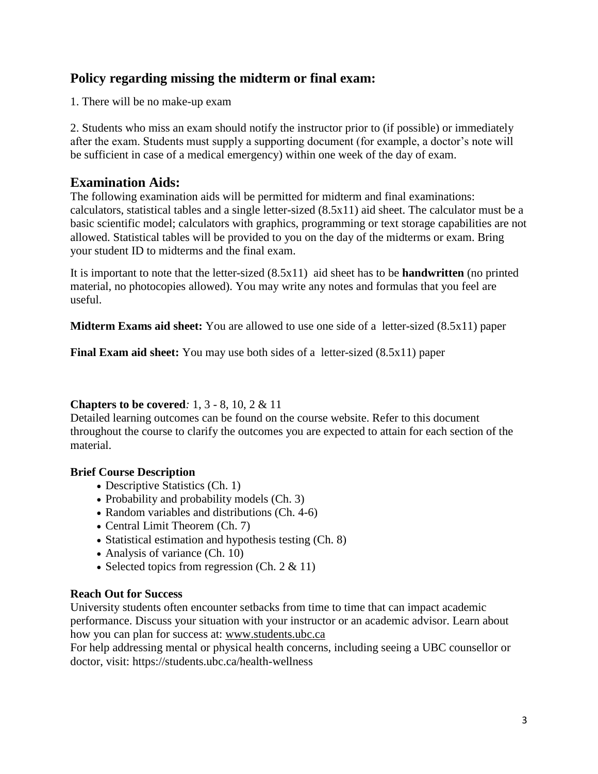## **Policy regarding missing the midterm or final exam:**

1. There will be no make-up exam

2. Students who miss an exam should notify the instructor prior to (if possible) or immediately after the exam. Students must supply a supporting document (for example, a doctor's note will be sufficient in case of a medical emergency) within one week of the day of exam.

## **Examination Aids:**

The following examination aids will be permitted for midterm and final examinations: calculators, statistical tables and a single letter-sized (8.5x11) aid sheet. The calculator must be a basic scientific model; calculators with graphics, programming or text storage capabilities are not allowed. Statistical tables will be provided to you on the day of the midterms or exam. Bring your student ID to midterms and the final exam.

It is important to note that the letter-sized (8.5x11) aid sheet has to be **handwritten** (no printed material, no photocopies allowed). You may write any notes and formulas that you feel are useful.

**Midterm Exams aid sheet:** You are allowed to use one side of a letter-sized (8.5x11) paper

**Final Exam aid sheet:** You may use both sides of a letter-sized (8.5x11) paper

## **Chapters to be covered***:* 1, 3 - 8, 10, 2 & 11

Detailed learning outcomes can be found on the course website. Refer to this document throughout the course to clarify the outcomes you are expected to attain for each section of the material.

## **Brief Course Description**

- Descriptive Statistics (Ch. 1)
- Probability and probability models (Ch. 3)
- Random variables and distributions (Ch. 4-6)
- Central Limit Theorem (Ch. 7)
- Statistical estimation and hypothesis testing (Ch. 8)
- Analysis of variance (Ch. 10)
- Selected topics from regression (Ch.  $2 \& 11$ )

## **Reach Out for Success**

University students often encounter setbacks from time to time that can impact academic performance. Discuss your situation with your instructor or an academic advisor. Learn about how you can plan for success at: [www.students.ubc.ca](http://www.students.ubc.ca/)

For help addressing mental or physical health concerns, including seeing a UBC counsellor or doctor, visit: https://students.ubc.ca/health-wellness